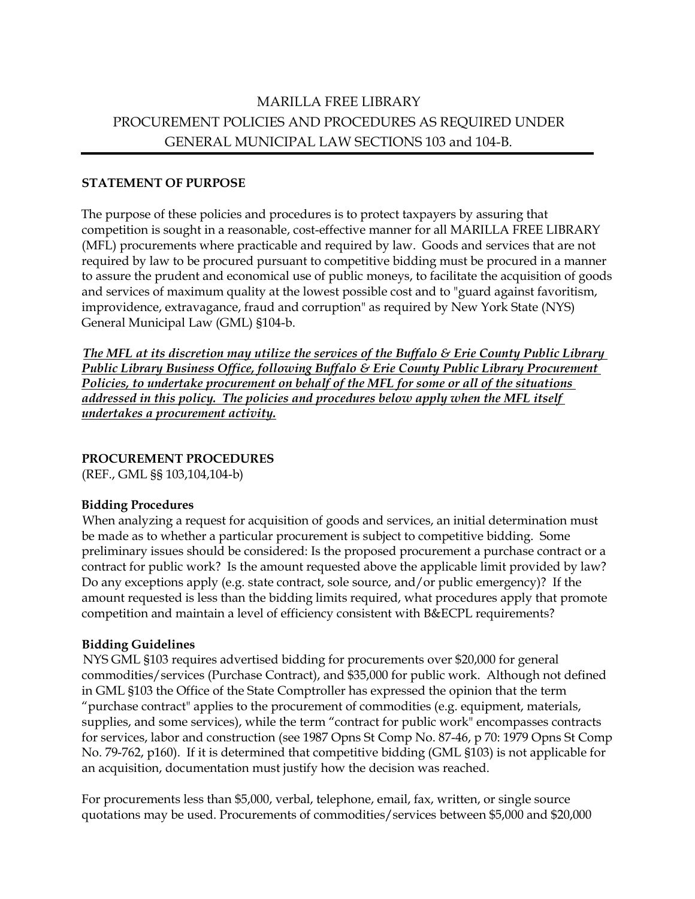# MARILLA FREE LIBRARY PROCUREMENT POLICIES AND PROCEDURES AS REQUIRED UNDER GENERAL MUNICIPAL LAW SECTIONS 103 and 104-B.

#### **STATEMENT OF PURPOSE**

The purpose of these policies and procedures is to protect taxpayers by assuring that competition is sought in a reasonable, cost-effective manner for all MARILLA FREE LIBRARY (MFL) procurements where practicable and required by law. Goods and services that are not required by law to be procured pursuant to competitive bidding must be procured in a manner to assure the prudent and economical use of public moneys, to facilitate the acquisition of goods and services of maximum quality at the lowest possible cost and to "guard against favoritism, improvidence, extravagance, fraud and corruption" as required by New York State (NYS) General Municipal Law (GML) §104-b.

*The MFL at its discretion may utilize the services of the Buffalo & Erie County Public Library Public Library Business Office, following Buffalo & Erie County Public Library Procurement Policies, to undertake procurement on behalf of the MFL for some or all of the situations*  addressed in this policy. The policies and procedures below apply when the MFL itself *undertakes a procurement activity.*

#### **PROCUREMENT PROCEDURES**

(REF., GML §§ 103,104,104-b)

#### **Bidding Procedures**

When analyzing a request for acquisition of goods and services, an initial determination must be made as to whether a particular procurement is subject to competitive bidding. Some preliminary issues should be considered: Is the proposed procurement a purchase contract or a contract for public work? Is the amount requested above the applicable limit provided by law? Do any exceptions apply (e.g. state contract, sole source, and/or public emergency)? If the amount requested is less than the bidding limits required, what procedures apply that promote competition and maintain a level of efficiency consistent with B&ECPL requirements?

#### **Bidding Guidelines**

NYS GML §103 requires advertised bidding for procurements over \$20,000 for general commodities/services (Purchase Contract), and \$35,000 for public work. Although not defined in GML §103 the Office of the State Comptroller has expressed the opinion that the term "purchase contract" applies to the procurement of commodities (e.g. equipment, materials, supplies, and some services), while the term "contract for public work" encompasses contracts for services, labor and construction (see 1987 Opns St Comp No. 87-46, p 70: 1979 Opns St Comp No. 79-762, p160). If it is determined that competitive bidding (GML §103) is not applicable for an acquisition, documentation must justify how the decision was reached.

For procurements less than \$5,000, verbal, telephone, email, fax, written, or single source quotations may be used. Procurements of commodities/services between \$5,000 and \$20,000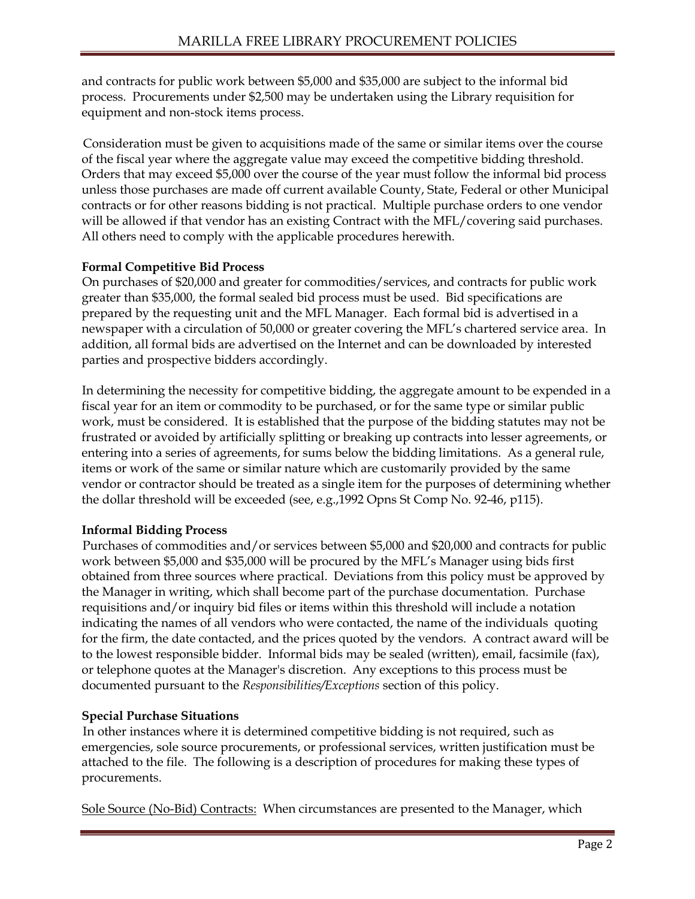and contracts for public work between \$5,000 and \$35,000 are subject to the informal bid process. Procurements under \$2,500 may be undertaken using the Library requisition for equipment and non-stock items process.

Consideration must be given to acquisitions made of the same or similar items over the course of the fiscal year where the aggregate value may exceed the competitive bidding threshold. Orders that may exceed \$5,000 over the course of the year must follow the informal bid process unless those purchases are made off current available County, State, Federal or other Municipal contracts or for other reasons bidding is not practical. Multiple purchase orders to one vendor will be allowed if that vendor has an existing Contract with the MFL/covering said purchases. All others need to comply with the applicable procedures herewith.

## **Formal Competitive Bid Process**

On purchases of \$20,000 and greater for commodities/services, and contracts for public work greater than \$35,000, the formal sealed bid process must be used. Bid specifications are prepared by the requesting unit and the MFL Manager. Each formal bid is advertised in a newspaper with a circulation of 50,000 or greater covering the MFL's chartered service area. In addition, all formal bids are advertised on the Internet and can be downloaded by interested parties and prospective bidders accordingly.

In determining the necessity for competitive bidding, the aggregate amount to be expended in a fiscal year for an item or commodity to be purchased, or for the same type or similar public work, must be considered. It is established that the purpose of the bidding statutes may not be frustrated or avoided by artificially splitting or breaking up contracts into lesser agreements, or entering into a series of agreements, for sums below the bidding limitations. As a general rule, items or work of the same or similar nature which are customarily provided by the same vendor or contractor should be treated as a single item for the purposes of determining whether the dollar threshold will be exceeded (see, e.g.,1992 Opns St Comp No. 92-46, p115).

## **Informal Bidding Process**

Purchases of commodities and/or services between \$5,000 and \$20,000 and contracts for public work between \$5,000 and \$35,000 will be procured by the MFL's Manager using bids first obtained from three sources where practical. Deviations from this policy must be approved by the Manager in writing, which shall become part of the purchase documentation. Purchase requisitions and/or inquiry bid files or items within this threshold will include a notation indicating the names of all vendors who were contacted, the name of the individuals quoting for the firm, the date contacted, and the prices quoted by the vendors. A contract award will be to the lowest responsible bidder. Informal bids may be sealed (written), email, facsimile (fax), or telephone quotes at the Manager's discretion. Any exceptions to this process must be documented pursuant to the *Responsibilities/Exceptions* section of this policy.

#### **Special Purchase Situations**

In other instances where it is determined competitive bidding is not required, such as emergencies, sole source procurements, or professional services, written justification must be attached to the file. The following is a description of procedures for making these types of procurements.

Sole Source (No-Bid) Contracts: When circumstances are presented to the Manager, which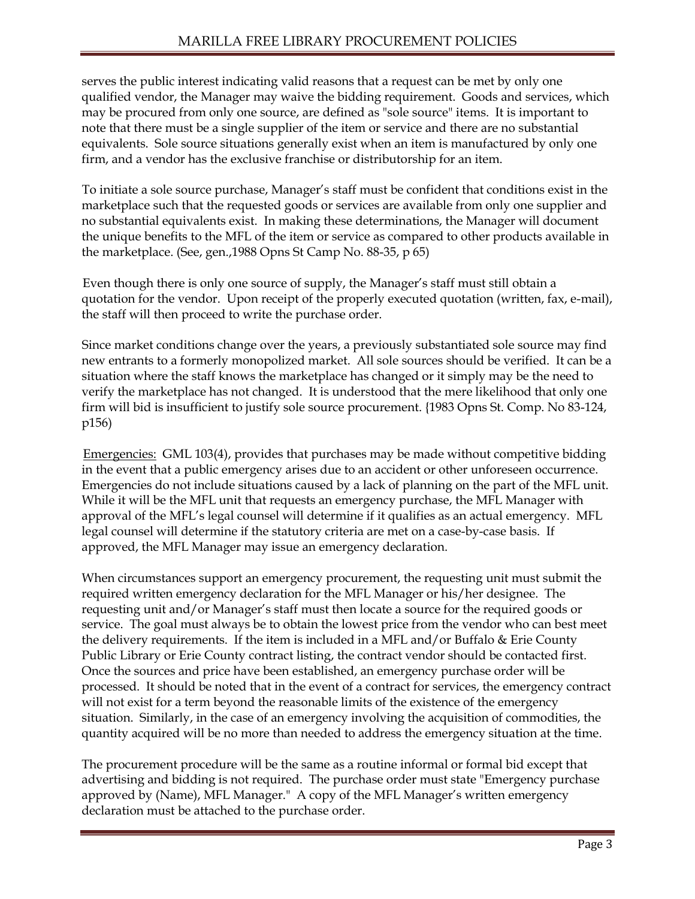serves the public interest indicating valid reasons that a request can be met by only one qualified vendor, the Manager may waive the bidding requirement. Goods and services, which may be procured from only one source, are defined as "sole source" items. It is important to note that there must be a single supplier of the item or service and there are no substantial equivalents. Sole source situations generally exist when an item is manufactured by only one firm, and a vendor has the exclusive franchise or distributorship for an item.

To initiate a sole source purchase, Manager's staff must be confident that conditions exist in the marketplace such that the requested goods or services are available from only one supplier and no substantial equivalents exist. In making these determinations, the Manager will document the unique benefits to the MFL of the item or service as compared to other products available in the marketplace. (See, gen.,1988 Opns St Camp No. 88-35, p 65)

Even though there is only one source of supply, the Manager's staff must still obtain a quotation for the vendor. Upon receipt of the properly executed quotation (written, fax, e-mail), the staff will then proceed to write the purchase order.

Since market conditions change over the years, a previously substantiated sole source may find new entrants to a formerly monopolized market. All sole sources should be verified. It can be a situation where the staff knows the marketplace has changed or it simply may be the need to verify the marketplace has not changed. It is understood that the mere likelihood that only one firm will bid is insufficient to justify sole source procurement. {1983 Opns St. Comp. No 83-124, p156)

Emergencies: GML 103(4), provides that purchases may be made without competitive bidding in the event that a public emergency arises due to an accident or other unforeseen occurrence. Emergencies do not include situations caused by a lack of planning on the part of the MFL unit. While it will be the MFL unit that requests an emergency purchase, the MFL Manager with approval of the MFL's legal counsel will determine if it qualifies as an actual emergency. MFL legal counsel will determine if the statutory criteria are met on a case-by-case basis. If approved, the MFL Manager may issue an emergency declaration.

When circumstances support an emergency procurement, the requesting unit must submit the required written emergency declaration for the MFL Manager or his/her designee. The requesting unit and/or Manager's staff must then locate a source for the required goods or service. The goal must always be to obtain the lowest price from the vendor who can best meet the delivery requirements. If the item is included in a MFL and/or Buffalo  $\&$  Erie County Public Library or Erie County contract listing, the contract vendor should be contacted first. Once the sources and price have been established, an emergency purchase order will be processed. It should be noted that in the event of a contract for services, the emergency contract will not exist for a term beyond the reasonable limits of the existence of the emergency situation. Similarly, in the case of an emergency involving the acquisition of commodities, the quantity acquired will be no more than needed to address the emergency situation at the time.

The procurement procedure will be the same as a routine informal or formal bid except that advertising and bidding is not required. The purchase order must state "Emergency purchase approved by (Name), MFL Manager." A copy of the MFL Manager's written emergency declaration must be attached to the purchase order.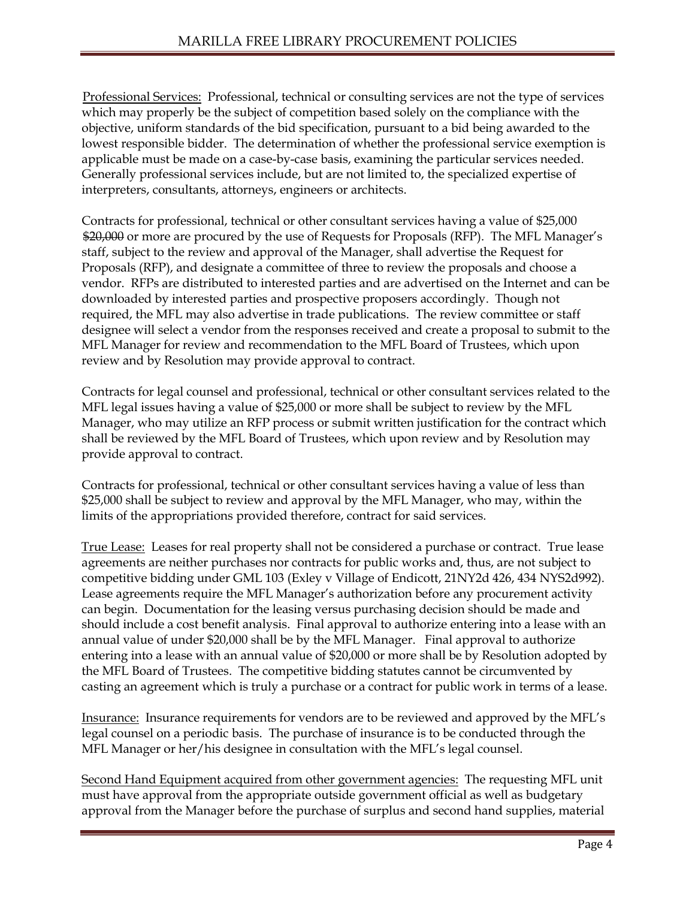Professional Services: Professional, technical or consulting services are not the type of services which may properly be the subject of competition based solely on the compliance with the objective, uniform standards of the bid specification, pursuant to a bid being awarded to the lowest responsible bidder. The determination of whether the professional service exemption is applicable must be made on a case-by-case basis, examining the particular services needed. Generally professional services include, but are not limited to, the specialized expertise of interpreters, consultants, attorneys, engineers or architects.

Contracts for professional, technical or other consultant services having a value of \$25,000 \$20,000 or more are procured by the use of Requests for Proposals (RFP). The MFL Manager's staff, subject to the review and approval of the Manager, shall advertise the Request for Proposals (RFP), and designate a committee of three to review the proposals and choose a vendor. RFPs are distributed to interested parties and are advertised on the Internet and can be downloaded by interested parties and prospective proposers accordingly. Though not required, the MFL may also advertise in trade publications. The review committee or staff designee will select a vendor from the responses received and create a proposal to submit to the MFL Manager for review and recommendation to the MFL Board of Trustees, which upon review and by Resolution may provide approval to contract.

Contracts for legal counsel and professional, technical or other consultant services related to the MFL legal issues having a value of \$25,000 or more shall be subject to review by the MFL Manager, who may utilize an RFP process or submit written justification for the contract which shall be reviewed by the MFL Board of Trustees, which upon review and by Resolution may provide approval to contract.

Contracts for professional, technical or other consultant services having a value of less than \$25,000 shall be subject to review and approval by the MFL Manager, who may, within the limits of the appropriations provided therefore, contract for said services.

True Lease: Leases for real property shall not be considered a purchase or contract. True lease agreements are neither purchases nor contracts for public works and, thus, are not subject to competitive bidding under GML 103 (Exley v Village of Endicott, 21NY2d 426, 434 NYS2d992). Lease agreements require the MFL Manager's authorization before any procurement activity can begin. Documentation for the leasing versus purchasing decision should be made and should include a cost benefit analysis. Final approval to authorize entering into a lease with an annual value of under \$20,000 shall be by the MFL Manager. Final approval to authorize entering into a lease with an annual value of \$20,000 or more shall be by Resolution adopted by the MFL Board of Trustees. The competitive bidding statutes cannot be circumvented by casting an agreement which is truly a purchase or a contract for public work in terms of a lease.

Insurance: Insurance requirements for vendors are to be reviewed and approved by the MFL's legal counsel on a periodic basis. The purchase of insurance is to be conducted through the MFL Manager or her/his designee in consultation with the MFL's legal counsel.

Second Hand Equipment acquired from other government agencies: The requesting MFL unit must have approval from the appropriate outside government official as well as budgetary approval from the Manager before the purchase of surplus and second hand supplies, material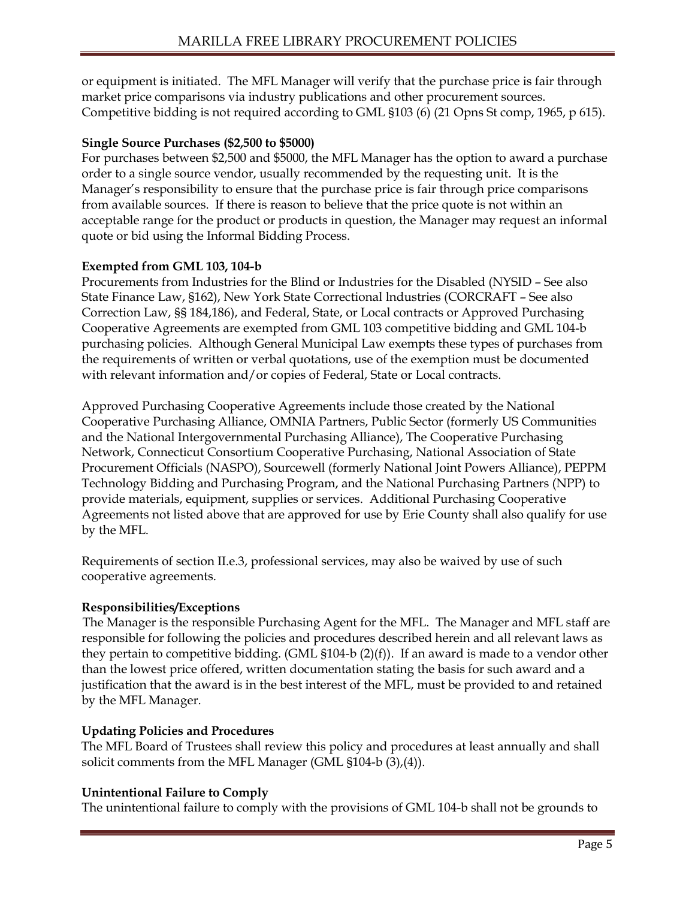or equipment is initiated. The MFL Manager will verify that the purchase price is fair through market price comparisons via industry publications and other procurement sources. Competitive bidding is not required according to GML §103 (6) (21 Opns St comp, 1965, p 615).

### **Single Source Purchases (\$2,500 to \$5000)**

For purchases between \$2,500 and \$5000, the MFL Manager has the option to award a purchase order to a single source vendor, usually recommended by the requesting unit. It is the Manager's responsibility to ensure that the purchase price is fair through price comparisons from available sources. If there is reason to believe that the price quote is not within an acceptable range for the product or products in question, the Manager may request an informal quote or bid using the Informal Bidding Process.

#### **Exempted from GML 103, 104-b**

Procurements from Industries for the Blind or Industries for the Disabled (NYSID – See also State Finance Law, §162), New York State Correctional lndustries (CORCRAFT – See also Correction Law, §§ 184,186), and Federal, State, or Local contracts or Approved Purchasing Cooperative Agreements are exempted from GML 103 competitive bidding and GML 104-b purchasing policies. Although General Municipal Law exempts these types of purchases from the requirements of written or verbal quotations, use of the exemption must be documented with relevant information and/or copies of Federal, State or Local contracts.

Approved Purchasing Cooperative Agreements include those created by the National Cooperative Purchasing Alliance, OMNIA Partners, Public Sector (formerly US Communities and the National Intergovernmental Purchasing Alliance), The Cooperative Purchasing Network, Connecticut Consortium Cooperative Purchasing, National Association of State Procurement Officials (NASPO), Sourcewell (formerly National Joint Powers Alliance), PEPPM Technology Bidding and Purchasing Program, and the National Purchasing Partners (NPP) to provide materials, equipment, supplies or services. Additional Purchasing Cooperative Agreements not listed above that are approved for use by Erie County shall also qualify for use by the MFL.

Requirements of section II.e.3, professional services, may also be waived by use of such cooperative agreements.

#### **Responsibilities/Exceptions**

The Manager is the responsible Purchasing Agent for the MFL. The Manager and MFL staff are responsible for following the policies and procedures described herein and all relevant laws as they pertain to competitive bidding. (GML  $$104-b (2)(f)$ ). If an award is made to a vendor other than the lowest price offered, written documentation stating the basis for such award and a justification that the award is in the best interest of the MFL, must be provided to and retained by the MFL Manager.

#### **Updating Policies and Procedures**

The MFL Board of Trustees shall review this policy and procedures at least annually and shall solicit comments from the MFL Manager (GML §104-b (3),(4)).

#### **Unintentional Failure to Comply**

The unintentional failure to comply with the provisions of GML 104-b shall not be grounds to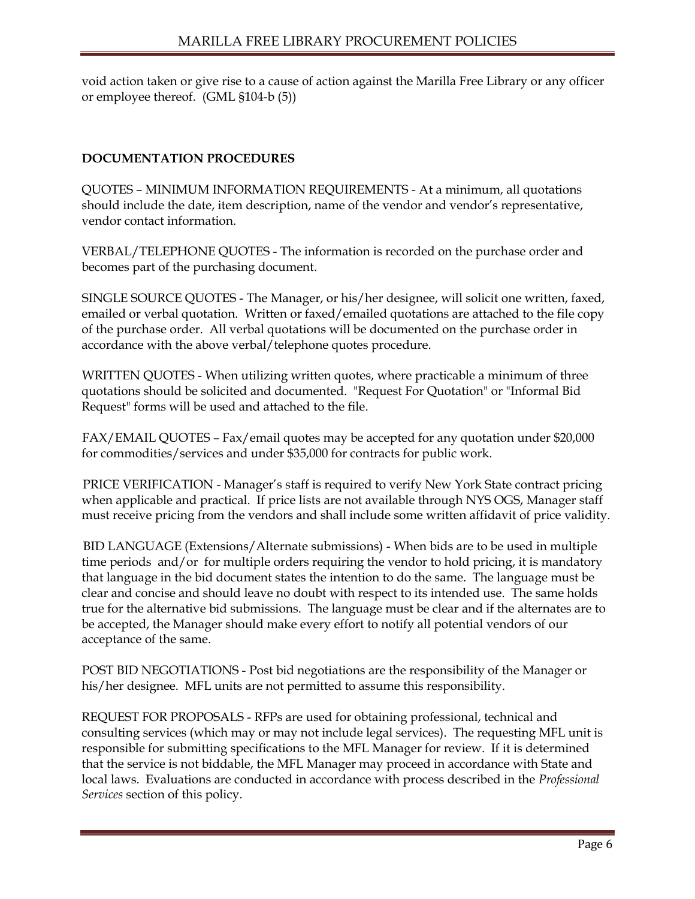void action taken or give rise to a cause of action against the Marilla Free Library or any officer or employee thereof. (GML §104-b (5))

## **DOCUMENTATION PROCEDURES**

QUOTES – MINIMUM INFORMATION REQUIREMENTS - At a minimum, all quotations should include the date, item description, name of the vendor and vendor's representative, vendor contact information.

VERBAL/TELEPHONE QUOTES - The information is recorded on the purchase order and becomes part of the purchasing document.

SINGLE SOURCE QUOTES - The Manager, or his/her designee, will solicit one written, faxed, emailed or verbal quotation. Written or faxed/emailed quotations are attached to the file copy of the purchase order. All verbal quotations will be documented on the purchase order in accordance with the above verbal/telephone quotes procedure.

WRITTEN QUOTES - When utilizing written quotes, where practicable a minimum of three quotations should be solicited and documented. "Request For Quotation" or "Informal Bid Request" forms will be used and attached to the file.

FAX/EMAIL QUOTES – Fax/email quotes may be accepted for any quotation under \$20,000 for commodities/services and under \$35,000 for contracts for public work.

PRICE VERIFICATION - Manager's staff is required to verify New York State contract pricing when applicable and practical. If price lists are not available through NYS OGS, Manager staff must receive pricing from the vendors and shall include some written affidavit of price validity.

BID LANGUAGE (Extensions/Alternate submissions) - When bids are to be used in multiple time periods and/or for multiple orders requiring the vendor to hold pricing, it is mandatory that language in the bid document states the intention to do the same. The language must be clear and concise and should leave no doubt with respect to its intended use. The same holds true for the alternative bid submissions. The language must be clear and if the alternates are to be accepted, the Manager should make every effort to notify all potential vendors of our acceptance of the same.

POST BID NEGOTIATIONS - Post bid negotiations are the responsibility of the Manager or his/her designee. MFL units are not permitted to assume this responsibility.

REQUEST FOR PROPOSALS - RFPs are used for obtaining professional, technical and consulting services (which may or may not include legal services). The requesting MFL unit is responsible for submitting specifications to the MFL Manager for review. If it is determined that the service is not biddable, the MFL Manager may proceed in accordance with State and local laws. Evaluations are conducted in accordance with process described in the *Professional Services* section of this policy.